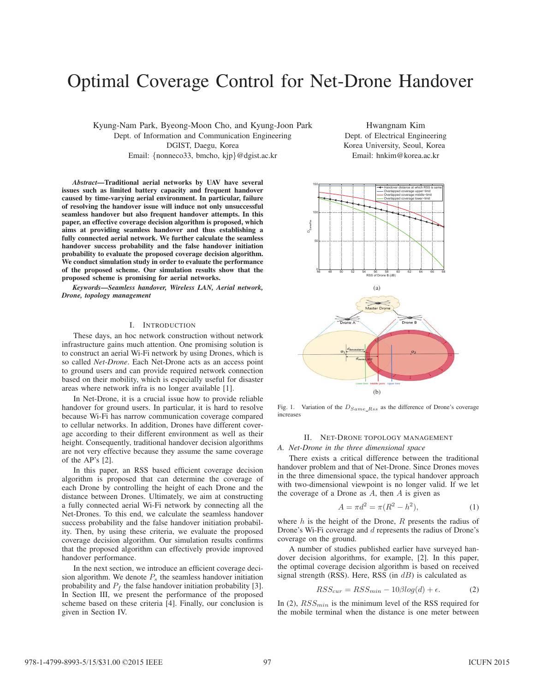# Optimal Coverage Control for Net-Drone Handover

Kyung-Nam Park, Byeong-Moon Cho, and Kyung-Joon Park Dept. of Information and Communication Engineering DGIST, Daegu, Korea Email: {nonneco33, bmcho, kjp}@dgist.ac.kr

*Abstract*—Traditional aerial networks by UAV have several issues such as limited battery capacity and frequent handover caused by time-varying aerial environment. In particular, failure of resolving the handover issue will induce not only unsuccessful seamless handover but also frequent handover attempts. In this paper, an effective coverage decision algorithm is proposed, which aims at providing seamless handover and thus establishing a fully connected aerial network. We further calculate the seamless handover success probability and the false handover initiation probability to evaluate the proposed coverage decision algorithm. We conduct simulation study in order to evaluate the performance of the proposed scheme. Our simulation results show that the proposed scheme is promising for aerial networks.

*Keywords*—*Seamless handover, Wireless LAN, Aerial network, Drone, topology management*

# I. INTRODUCTION

These days, an hoc network construction without network infrastructure gains much attention. One promising solution is to construct an aerial Wi-Fi network by using Drones, which is so called *Net-Drone*. Each Net-Drone acts as an access point to ground users and can provide required network connection based on their mobility, which is especially useful for disaster areas where network infra is no longer available [1].

In Net-Drone, it is a crucial issue how to provide reliable handover for ground users. In particular, it is hard to resolve because Wi-Fi has narrow communication coverage compared to cellular networks. In addition, Drones have different coverage according to their different environment as well as their height. Consequently, traditional handover decision algorithms are not very effective because they assume the same coverage of the AP's [2].

In this paper, an RSS based efficient coverage decision algorithm is proposed that can determine the coverage of each Drone by controlling the height of each Drone and the distance between Drones. Ultimately, we aim at constructing a fully connected aerial Wi-Fi network by connecting all the Net-Drones. To this end, we calculate the seamless handover success probability and the false handover initiation probability. Then, by using these criteria, we evaluate the proposed coverage decision algorithm. Our simulation results confirms that the proposed algorithm can effectively provide improved handover performance.

In the next section, we introduce an efficient coverage decision algorithm. We denote  $P_s$  the seamless handover initiation probability and  $P_f$  the false handover initiation probability [3]. In Section III, we present the performance of the proposed scheme based on these criteria [4]. Finally, our conclusion is given in Section IV.

Hwangnam Kim Dept. of Electrical Engineering Korea University, Seoul, Korea Email: hnkim@korea.ac.kr



Fig. 1. Variation of the  $D_{Same\_Rss}$  as the difference of Drone's coverage increases

## II. NET-DRONE TOPOLOGY MANAGEMENT

*A. Net-Drone in the three dimensional space*

There exists a critical difference between the traditional handover problem and that of Net-Drone. Since Drones moves in the three dimensional space, the typical handover approach with two-dimensional viewpoint is no longer valid. If we let the coverage of a Drone as  $A$ , then  $A$  is given as

$$
A = \pi d^2 = \pi (R^2 - h^2),
$$
 (1)

where  $h$  is the height of the Drone,  $R$  presents the radius of Drone's Wi-Fi coverage and d represents the radius of Drone's coverage on the ground.

A number of studies published earlier have surveyed handover decision algorithms, for example, [2]. In this paper, the optimal coverage decision algorithm is based on received signal strength (RSS). Here, RSS (in  $dB$ ) is calculated as

$$
RSS_{cur} = RSS_{min} - 10\beta log(d) + \epsilon.
$$
 (2)

In (2),  $RSS_{min}$  is the minimum level of the RSS required for the mobile terminal when the distance is one meter between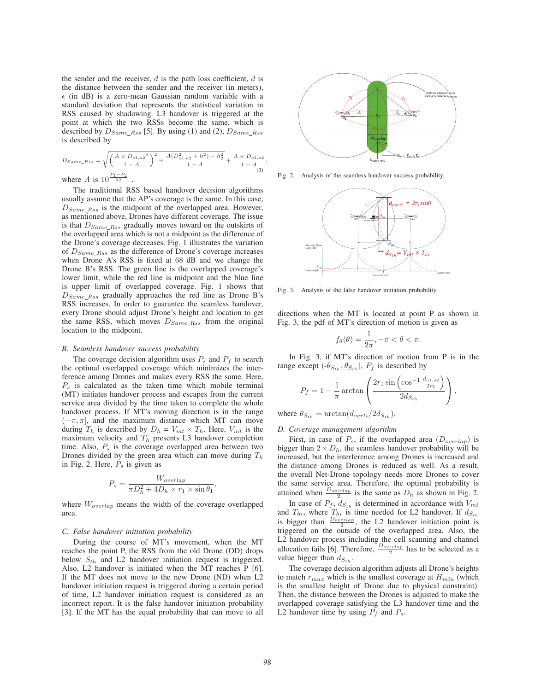the sender and the receiver,  $d$  is the path loss coefficient,  $d$  is the distance between the sender and the receiver (in meters),  $\epsilon$  (in dB) is a zero-mean Gaussian random variable with a standard deviation that represents the statistical variation in RSS caused by shadowing. L3 handover is triggered at the point at which the two RSSs become the same, which is described by  $D_{Same\_Rss}$  [5]. By using (1) and (2),  $D_{Same\;Rss}$ is described by

$$
D_{Same\_Rss} = \sqrt{\left(\frac{A \times D_{o1,o2}^2}{1 - A}\right)^2 + \frac{A(D_{o1,o2}^2 + h^2) - h_2^2}{1 - A} + \frac{A \times D_{o1,o2}}{1 - A}},
$$
  
where  $A$  is  $10^{\frac{P_1 - P_2}{5}}.$  (3)

where A is  $10^{-5\beta}$ 

The traditional RSS based handover decision algorithms usually assume that the AP's coverage is the same. In this case,  $D_{Same\_Rss}$  is the midpoint of the overlapped area. However, as mentioned above, Drones have different coverage. The issue is that  $D_{Same\_Rss}$  gradually moves toward on the outskirts of the overlapped area which is not a midpoint as the difference of the Drone's coverage decreases. Fig. 1 illustrates the variation of  $D_{Same\_Rss}$  as the difference of Drone's coverage increases when Drone A's RSS is fixed at 68 dB and we change the Drone B's RSS. The green line is the overlapped coverage's lower limit, while the red line is midpoint and the blue line is upper limit of overlapped coverage. Fig. 1 shows that  $D_{Same\_Rss}$  gradually approaches the red line as Drone B's RSS increases. In order to guarantee the seamless handover, every Drone should adjust Drone's height and location to get the same RSS, which moves  $D_{Same\_Rss}$  from the original location to the midpoint.

### *B. Seamless handover success probability*

The coverage decision algorithm uses  $P_s$  and  $P_f$  to search the optimal overlapped coverage which minimizes the interference among Drones and makes every RSS the same. Here,  $P<sub>s</sub>$  is calculated as the taken time which mobile terminal (MT) initiates handover process and escapes from the current service area divided by the time taken to complete the whole handover process. If MT's moving direction is in the range  $(-\pi, \pi]$ , and the maximum distance which MT can move during  $T_h$  is described by  $D_h = V_{mt} \times T_h$ . Here,  $V_{mt}$  is the maximum velocity and  $T_h$  presents L3 handover completion time. Also,  $P_s$  is the coverage overlapped area between two Drones divided by the green area which can move during  $T<sub>h</sub>$ in Fig. 2. Here,  $P<sub>s</sub>$  is given as

$$
P_s = \frac{W_{overlap}}{\pi D_h^2 + 4D_h \times r_1 \times \sin \theta_1},
$$

where  $W_{overlap}$  means the width of the coverage overlapped area.

## *C. False handover initiation probability*

During the course of MT's movement, when the MT reaches the point P, the RSS from the old Drone (OD) drops below  $S_{th}$  and L2 handover initiation request is triggered. Also, L2 handover is initiated when the MT reaches P [6]. If the MT does not move to the new Drone (ND) when L2 handover initiation request is triggered during a certain period of time, L2 handover initiation request is considered as an incorrect report. It is the false handover initiation probability [3]. If the MT has the equal probability that can move to all



Fig. 2. Analysis of the seamless handover success probability.



Fig. 3. Analysis of the false handover initiation probability.

directions when the MT is located at point P as shown in Fig. 3, the pdf of MT's direction of motion is given as

$$
f_{\theta}(\theta) = \frac{1}{2\pi}, -\pi < \theta < \pi.
$$

In Fig. 3, if MT's direction of motion from P is in the range except  $(-\theta_{S_{th}}, \theta_{S_{th}}]$ ,  $P_f$  is described by

$$
P_f = 1 - \frac{1}{\pi} \arctan\left(\frac{2r_1 \sin\left(\cos^{-1} \frac{d_{o1,o2}}{2r_1}\right)}{2d_{Sth}}\right),\,
$$

where  $\theta_{S_{th}} = \arctan(d_{vert}/2d_{S_{th}})$ .

#### *D. Coverage management algorithm*

First, in case of  $P_s$ , if the overlapped area  $(D_{overlap})$  is bigger than  $2 \times D_h$ , the seamless handover probability will be increased, but the interference among Drones is increased and the distance among Drones is reduced as well. As a result, the overall Net-Drone topology needs more Drones to cover the same service area. Therefore, the optimal probability is attained when  $\frac{D_{overlap}}{2}$  is the same as  $D_h$  as shown in Fig. 2.

In case of  $P_f$ ,  $d_{S_{th}}$  is determined in accordance with  $V_{mt}$ and  $T_{hi}$ , where  $T_{hi}$  is time needed for L2 handover. If  $d_{S_{th}}$ is bigger than  $\frac{D_{overlap}}{2}$ , the L2 handover initiation point is triggered on the outside of the overlapped area. Also, the L2 handover process including the cell scanning and channel allocation fails [6]. Therefore,  $\frac{D_{\text{overlap}}}{2}$  has to be selected as a value bigger than  $d_{S_{th}}$ .

The coverage decision algorithm adjusts all Drone's heights to match  $r_{max}$  which is the smallest coverage at  $H_{min}$  (which is the smallest height of Drone due to physical constraint). Then, the distance between the Drones is adjusted to make the overlapped coverage satisfying the L3 handover time and the L2 handover time by using  $P_f$  and  $P_s$ .